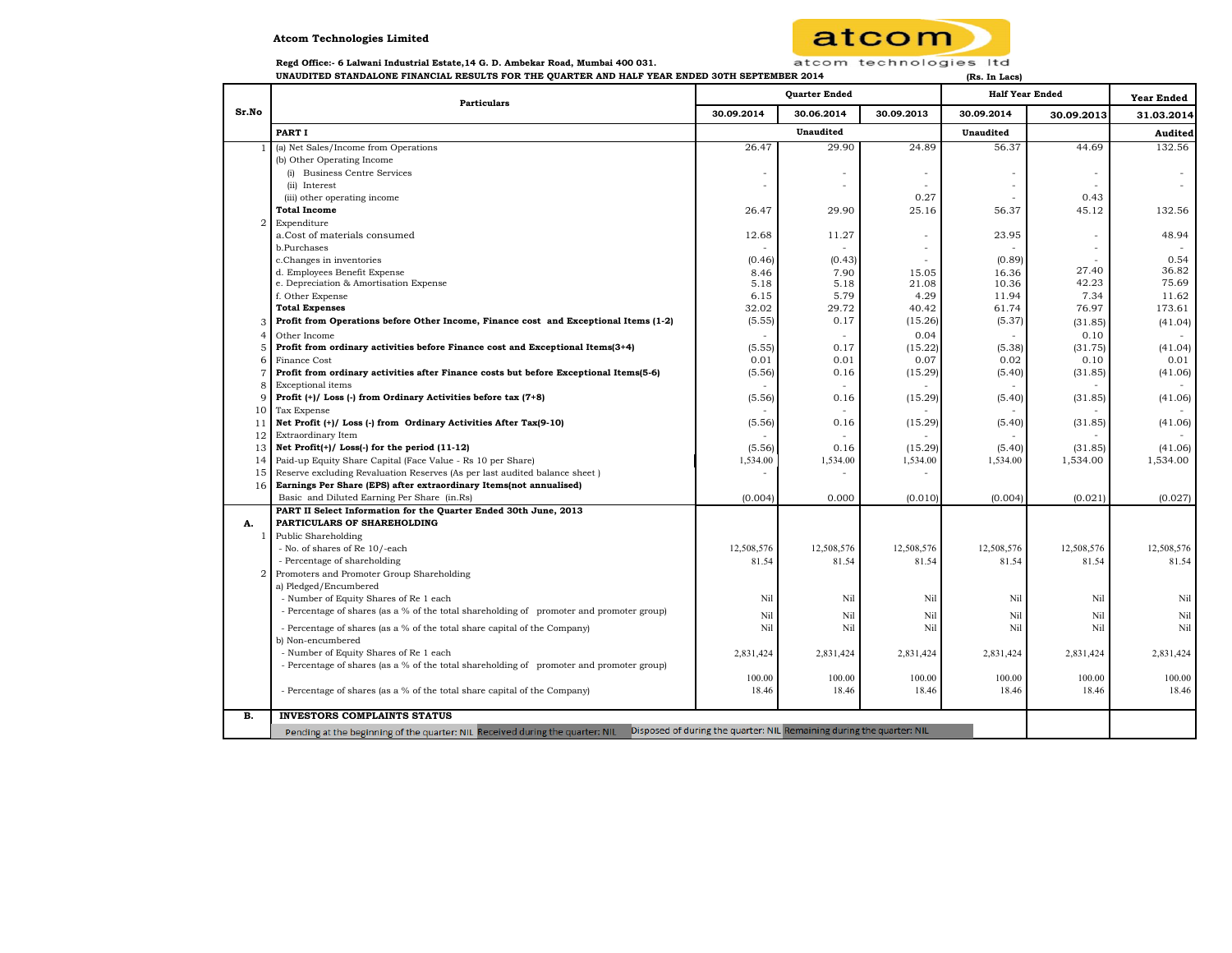## **Atcom Technologies Limited**



 **Regd Office:- 6 Lalwani Industrial Estate,14 G. D. Ambekar Road, Mumbai 400 031.** 

**UNAUDITED STANDALONE FINANCIAL RESULTS FOR THE QUARTER AND HALF YEAR ENDED 30TH SEPTEMBER 2014 (Rs. In Lacs)**

| Sr.No          | <b>Particulars</b>                                                                                                                                     | <b>Quarter Ended</b> |            |                          | <b>Half Year Ended</b> |                          | <b>Year Ended</b> |
|----------------|--------------------------------------------------------------------------------------------------------------------------------------------------------|----------------------|------------|--------------------------|------------------------|--------------------------|-------------------|
|                |                                                                                                                                                        | 30.09.2014           | 30.06.2014 | 30.09.2013               | 30.09.2014             | 30.09.2013               | 31.03.2014        |
|                | PART I                                                                                                                                                 |                      | Unaudited  |                          | <b>Unaudited</b>       |                          | Audited           |
|                | (a) Net Sales/Income from Operations                                                                                                                   | 26.47                | 29.90      | 24.89                    | 56.37                  | 44.69                    | 132.56            |
|                | (b) Other Operating Income                                                                                                                             |                      |            |                          |                        |                          |                   |
|                | (i) Business Centre Services                                                                                                                           |                      |            | $\overline{\phantom{a}}$ |                        | $\overline{\phantom{a}}$ |                   |
|                | (ii) Interest                                                                                                                                          |                      |            |                          |                        |                          |                   |
|                | (iii) other operating income                                                                                                                           |                      |            | 0.27                     |                        | 0.43                     |                   |
|                | <b>Total Income</b>                                                                                                                                    | 26.47                | 29.90      | 25.16                    | 56.37                  | 45.12                    | 132.56            |
| $\overline{2}$ | Expenditure                                                                                                                                            |                      |            |                          |                        |                          |                   |
|                | a.Cost of materials consumed                                                                                                                           | 12.68                | 11.27      | $\overline{\phantom{a}}$ | 23.95                  | $\bar{ }$                | 48.94             |
|                | b.Purchases                                                                                                                                            |                      |            |                          |                        |                          |                   |
|                | c.Changes in inventories                                                                                                                               | (0.46)               | (0.43)     |                          | (0.89)                 |                          | 0.54              |
|                | d. Employees Benefit Expense                                                                                                                           | 8.46                 | 7.90       | 15.05                    | 16.36                  | 27.40<br>42.23           | 36.82<br>75.69    |
|                | e. Depreciation & Amortisation Expense                                                                                                                 | 5.18                 | 5.18       | 21.08                    | 10.36                  |                          |                   |
|                | f. Other Expense                                                                                                                                       | 6.15<br>32.02        | 5.79       | 4.29                     | 11.94                  | 7.34                     | 11.62             |
|                | <b>Total Expenses</b>                                                                                                                                  |                      | 29.72      | 40.42                    | 61.74                  | 76.97                    | 173.61            |
|                | Profit from Operations before Other Income, Finance cost and Exceptional Items (1-2)                                                                   | (5.55)               | 0.17       | (15.26)                  | (5.37)                 | (31.85)                  | (41.04)           |
|                | Other Income                                                                                                                                           |                      | ÷.         | 0.04                     |                        | 0.10                     |                   |
| Е              | Profit from ordinary activities before Finance cost and Exceptional Items(3+4)                                                                         | (5.55)               | 0.17       | (15.22)                  | (5.38)                 | (31.75)                  | (41.04)           |
|                | Finance Cost                                                                                                                                           | 0.01                 | 0.01       | 0.07                     | 0.02                   | 0.10                     | 0.01              |
|                | Profit from ordinary activities after Finance costs but before Exceptional Items(5-6)                                                                  | (5.56)               | 0.16       | (15.29)                  | (5.40)                 | (31.85)                  | (41.06)           |
|                | <b>Exceptional</b> items                                                                                                                               |                      |            |                          |                        |                          |                   |
|                | Profit $(+)/$ Loss $(-)$ from Ordinary Activities before tax $(7+8)$                                                                                   | (5.56)               | 0.16       | (15.29)                  | (5.40)                 | (31.85)                  | (41.06)           |
| 10             | Tax Expense                                                                                                                                            |                      |            |                          |                        |                          |                   |
| 11             | Net Profit (+)/ Loss (-) from Ordinary Activities After Tax(9-10)                                                                                      | (5.56)               | 0.16       | (15.29)                  | (5.40)                 | (31.85)                  | (41.06)           |
| 12             | Extraordinary Item                                                                                                                                     |                      |            |                          |                        |                          |                   |
| 13             | Net Profit(+)/ Loss(-) for the period (11-12)                                                                                                          | (5.56)               | 0.16       | (15.29)                  | (5.40)                 | (31.85)                  | (41.06)           |
|                | 14 Paid-up Equity Share Capital (Face Value - Rs 10 per Share)                                                                                         | 1,534.00             | 1,534.00   | 1,534.00                 | 1,534.00               | 1,534.00                 | 1,534.00          |
| 15             | Reserve excluding Revaluation Reserves (As per last audited balance sheet)                                                                             |                      |            |                          |                        |                          |                   |
|                | 16 Earnings Per Share (EPS) after extraordinary Items(not annualised)                                                                                  |                      | 0.000      |                          |                        |                          |                   |
|                | Basic and Diluted Earning Per Share (in.Rs)                                                                                                            | (0.004)              |            | (0.010)                  | (0.004)                | (0.021)                  | (0.027)           |
| А.             | PART II Select Information for the Quarter Ended 30th June, 2013<br>PARTICULARS OF SHAREHOLDING                                                        |                      |            |                          |                        |                          |                   |
| 1              | <b>Public Shareholding</b>                                                                                                                             |                      |            |                          |                        |                          |                   |
|                | - No. of shares of Re 10/-each                                                                                                                         | 12,508,576           | 12,508,576 | 12,508,576               | 12,508,576             | 12,508,576               | 12,508,576        |
|                | - Percentage of shareholding                                                                                                                           | 81.54                | 81.54      | 81.54                    | 81.54                  | 81.54                    | 81.54             |
|                | Promoters and Promoter Group Shareholding                                                                                                              |                      |            |                          |                        |                          |                   |
|                | a) Pledged/Encumbered                                                                                                                                  |                      |            |                          |                        |                          |                   |
|                | - Number of Equity Shares of Re 1 each                                                                                                                 | Nil                  | Nil        | Nil                      | Nil                    | Nil                      | Nil               |
|                | - Percentage of shares (as a % of the total shareholding of promoter and promoter group)                                                               | Nil                  | Nil        | Nil                      | Nil                    | Nil                      | Nil               |
|                | - Percentage of shares (as a % of the total share capital of the Company)                                                                              | Nil                  | Nil        | Nil                      | Nil                    | Nil                      | Nil               |
|                | b) Non-encumbered                                                                                                                                      |                      |            |                          |                        |                          |                   |
|                | - Number of Equity Shares of Re 1 each                                                                                                                 | 2.831.424            | 2,831,424  | 2,831,424                | 2.831.424              | 2,831,424                | 2,831,424         |
|                | - Percentage of shares (as a % of the total shareholding of promoter and promoter group)                                                               |                      |            |                          |                        |                          |                   |
|                |                                                                                                                                                        | 100.00               | 100.00     | 100.00                   | 100.00                 | 100.00                   | 100.00            |
|                | - Percentage of shares (as a % of the total share capital of the Company)                                                                              | 18.46                | 18.46      | 18.46                    | 18.46                  | 18.46                    | 18.46             |
| в.             | <b>INVESTORS COMPLAINTS STATUS</b>                                                                                                                     |                      |            |                          |                        |                          |                   |
|                | Disposed of during the quarter: NIL Remaining during the quarter: NIL<br>Pending at the beginning of the quarter: NIL Received during the quarter: NIL |                      |            |                          |                        |                          |                   |
|                |                                                                                                                                                        |                      |            |                          |                        |                          |                   |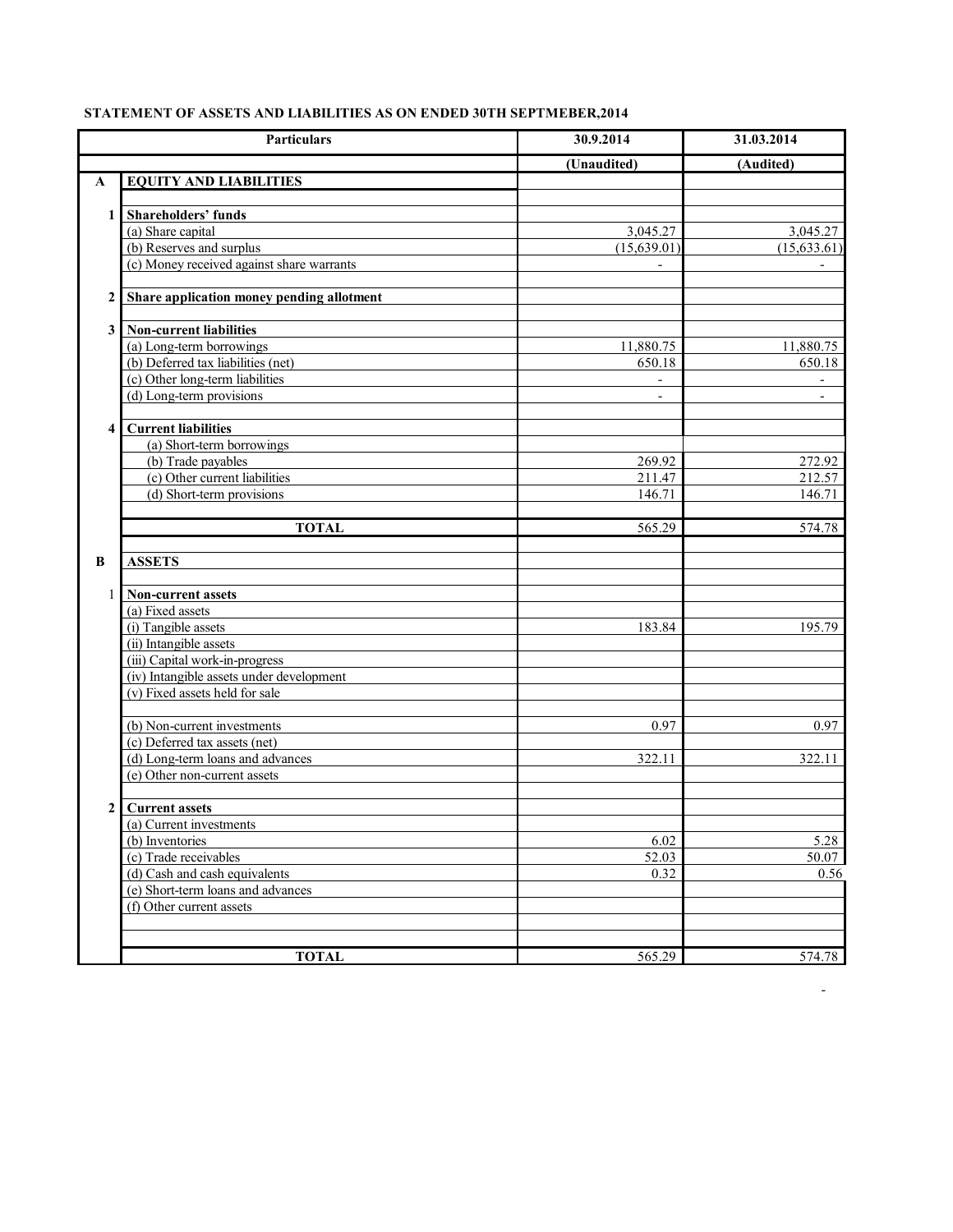|                  | Particulars                                                                | 30.9.2014                | 31.03.2014   |
|------------------|----------------------------------------------------------------------------|--------------------------|--------------|
|                  |                                                                            | (Unaudited)              | (Audited)    |
| A                | <b>EQUITY AND LIABILITIES</b>                                              |                          |              |
|                  |                                                                            |                          |              |
| $\mathbf{1}$     | <b>Shareholders' funds</b>                                                 |                          |              |
|                  | (a) Share capital                                                          | 3,045.27                 | 3,045.27     |
|                  | (b) Reserves and surplus                                                   | (15,639.01)              | (15, 633.61) |
|                  | (c) Money received against share warrants                                  |                          |              |
|                  |                                                                            |                          |              |
| 2                | Share application money pending allotment                                  |                          |              |
|                  |                                                                            |                          |              |
| 3 <sup>1</sup>   | <b>Non-current liabilities</b>                                             |                          |              |
|                  | (a) Long-term borrowings                                                   | 11,880.75                | 11,880.75    |
|                  | (b) Deferred tax liabilities (net)                                         | 650.18                   | 650.18       |
|                  | (c) Other long-term liabilities                                            |                          |              |
|                  | (d) Long-term provisions                                                   | $\overline{\phantom{a}}$ |              |
|                  |                                                                            |                          |              |
| 4                | <b>Current liabilities</b>                                                 |                          |              |
|                  | (a) Short-term borrowings                                                  |                          |              |
|                  | (b) Trade payables                                                         | 269.92                   | 272.92       |
|                  | (c) Other current liabilities                                              | 211.47                   | 212.57       |
|                  | (d) Short-term provisions                                                  | 146.71                   | 146.71       |
|                  |                                                                            |                          |              |
|                  | <b>TOTAL</b>                                                               | 565.29                   | 574.78       |
|                  |                                                                            |                          |              |
| B                | <b>ASSETS</b>                                                              |                          |              |
|                  |                                                                            |                          |              |
| $\mathbf{1}$     | Non-current assets                                                         |                          |              |
|                  | (a) Fixed assets                                                           |                          |              |
|                  | (i) Tangible assets                                                        | 183.84                   | 195.79       |
|                  | (ii) Intangible assets                                                     |                          |              |
|                  | (iii) Capital work-in-progress<br>(iv) Intangible assets under development |                          |              |
|                  | (v) Fixed assets held for sale                                             |                          |              |
|                  |                                                                            |                          |              |
|                  | (b) Non-current investments                                                | 0.97                     | 0.97         |
|                  | (c) Deferred tax assets (net)                                              |                          |              |
|                  | (d) Long-term loans and advances                                           | 322.11                   | 322.11       |
|                  | (e) Other non-current assets                                               |                          |              |
|                  |                                                                            |                          |              |
| $\boldsymbol{2}$ | <b>Current assets</b>                                                      |                          |              |
|                  | (a) Current investments                                                    |                          |              |
|                  | (b) Inventories                                                            | 6.02                     | 5.28         |
|                  | (c) Trade receivables                                                      | 52.03                    | 50.07        |
|                  | (d) Cash and cash equivalents                                              | 0.32                     | 0.56         |
|                  | (e) Short-term loans and advances                                          |                          |              |
|                  | (f) Other current assets                                                   |                          |              |
|                  |                                                                            |                          |              |
|                  |                                                                            |                          |              |
|                  | <b>TOTAL</b>                                                               | 565.29                   | 574.78       |

- 1990 - 1990 - 1990 - 1990 - 1991 - 1992 - 1993 - 1994 - 1994 - 1994 - 1994 - 1994 - 1994 - 1994 - 1994 - 199

## **STATEMENT OF ASSETS AND LIABILITIES AS ON ENDED 30TH SEPTMEBER,2014**